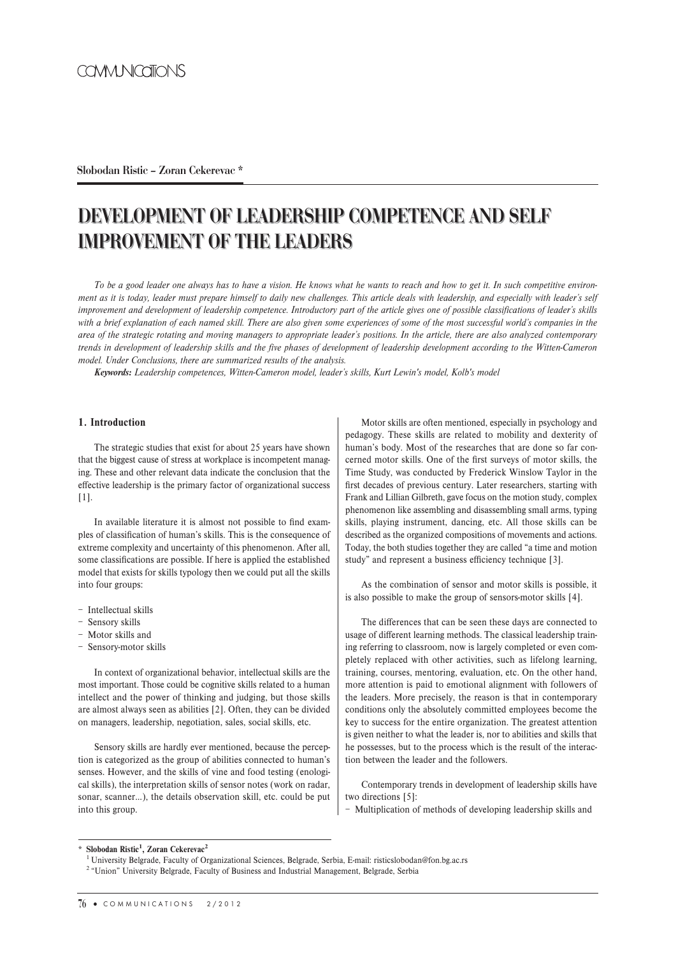## **Slobodan Ristic – Zoran Cekerevac \***

# **DEVELOPMENT OF LEADERSHIP COMPETENCE AND SELF IMPROVEMENT OF THE LEADERS**

*To be a good leader one always has to have a vision. He knows what he wants to reach and how to get it. In such competitive environment as it is today, leader must prepare himself to daily new challenges. This article deals with leadership, and especially with leader's self improvement and development of leadership competence. Introductory part of the article gives one of possible classifications of leader's skills with a brief explanation of each named skill. There are also given some experiences of some of the most successful world's companies in the area of the strategic rotating and moving managers to appropriate leader's positions. In the article, there are also analyzed contemporary trends in development of leadership skills and the five phases of development of leadership development according to the Witten-Cameron model. Under Conclusions, there are summarized results of the analysis.*

*Keywords: Leadership competences, Witten-Cameron model, leader's skills, Kurt Lewin's model, Kolb's model*

## **1. Introduction**

The strategic studies that exist for about 25 years have shown that the biggest cause of stress at workplace is incompetent managing. These and other relevant data indicate the conclusion that the effective leadership is the primary factor of organizational success [1].

In available literature it is almost not possible to find examples of classification of human's skills. This is the consequence of extreme complexity and uncertainty of this phenomenon. After all, some classifications are possible. If here is applied the established model that exists for skills typology then we could put all the skills into four groups:

- − Intellectual skills
- − Sensory skills
- − Motor skills and
- − Sensory-motor skills

In context of organizational behavior, intellectual skills are the most important. Those could be cognitive skills related to a human intellect and the power of thinking and judging, but those skills are almost always seen as abilities [2]. Often, they can be divided on managers, leadership, negotiation, sales, social skills, etc.

Sensory skills are hardly ever mentioned, because the perception is categorized as the group of abilities connected to human's senses. However, and the skills of vine and food testing (enological skills), the interpretation skills of sensor notes (work on radar, sonar, scanner…), the details observation skill, etc. could be put into this group.

Motor skills are often mentioned, especially in psychology and pedagogy. These skills are related to mobility and dexterity of human's body. Most of the researches that are done so far concerned motor skills. One of the first surveys of motor skills, the Time Study, was conducted by Frederick Winslow Taylor in the first decades of previous century. Later researchers, starting with Frank and Lillian Gilbreth, gave focus on the motion study, complex phenomenon like assembling and disassembling small arms, typing skills, playing instrument, dancing, etc. All those skills can be described as the organized compositions of movements and actions. Today, the both studies together they are called "a time and motion study" and represent a business efficiency technique [3].

As the combination of sensor and motor skills is possible, it is also possible to make the group of sensors-motor skills [4].

The differences that can be seen these days are connected to usage of different learning methods. The classical leadership training referring to classroom, now is largely completed or even completely replaced with other activities, such as lifelong learning, training, courses, mentoring, evaluation, etc. On the other hand, more attention is paid to emotional alignment with followers of the leaders. More precisely, the reason is that in contemporary conditions only the absolutely committed employees become the key to success for the entire organization. The greatest attention is given neither to what the leader is, nor to abilities and skills that he possesses, but to the process which is the result of the interaction between the leader and the followers.

Contemporary trends in development of leadership skills have two directions [5]:

− Multiplication of methods of developing leadership skills and

#### \* **Slobodan Ristic<sup>1</sup> , Zoran Cekerevac<sup>2</sup>**

<sup>1</sup>University Belgrade, Faculty of Organizational Sciences, Belgrade, Serbia, E-mail: risticslobodan@fon.bg.ac.rs

<sup>&</sup>lt;sup>2</sup> "Union" University Belgrade, Faculty of Business and Industrial Management, Belgrade, Serbia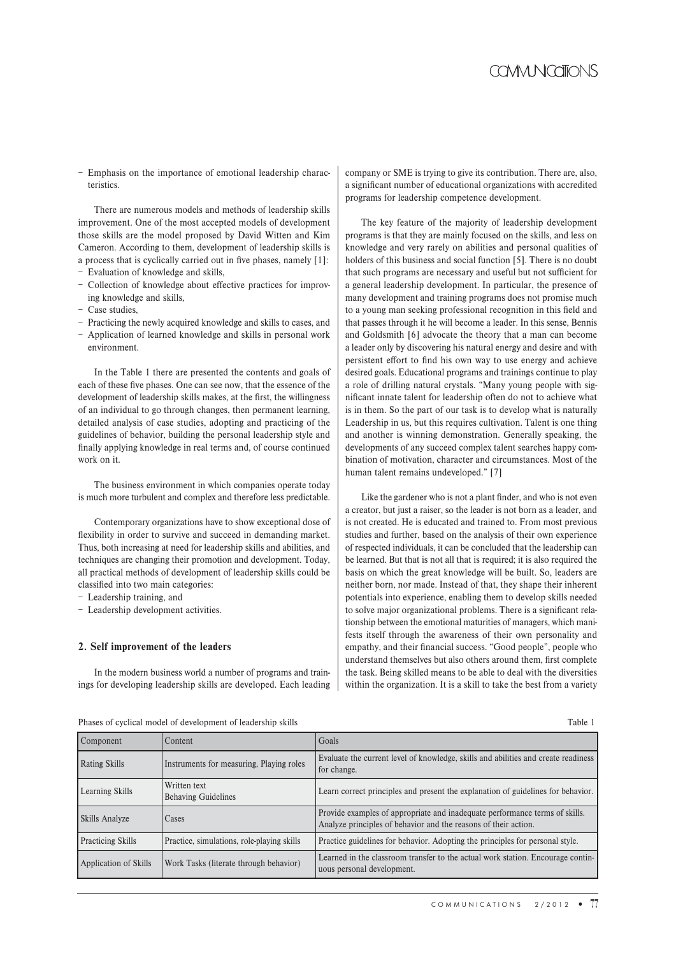− Emphasis on the importance of emotional leadership characteristics.

There are numerous models and methods of leadership skills improvement. One of the most accepted models of development those skills are the model proposed by David Witten and Kim Cameron. According to them, development of leadership skills is a process that is cyclically carried out in five phases, namely [1]:

- − Evaluation of knowledge and skills,
- − Collection of knowledge about effective practices for improving knowledge and skills,
- − Case studies,
- − Practicing the newly acquired knowledge and skills to cases, and
- − Application of learned knowledge and skills in personal work environment.

In the Table 1 there are presented the contents and goals of each of these five phases. One can see now, that the essence of the development of leadership skills makes, at the first, the willingness of an individual to go through changes, then permanent learning, detailed analysis of case studies, adopting and practicing of the guidelines of behavior, building the personal leadership style and finally applying knowledge in real terms and, of course continued work on it.

The business environment in which companies operate today is much more turbulent and complex and therefore less predictable.

Contemporary organizations have to show exceptional dose of flexibility in order to survive and succeed in demanding market. Thus, both increasing at need for leadership skills and abilities, and techniques are changing their promotion and development. Today, all practical methods of development of leadership skills could be classified into two main categories:

− Leadership training, and

− Leadership development activities.

#### **2. Self improvement of the leaders**

In the modern business world a number of programs and trainings for developing leadership skills are developed. Each leading company or SME is trying to give its contribution. There are, also, a significant number of educational organizations with accredited programs for leadership competence development.

The key feature of the majority of leadership development programs is that they are mainly focused on the skills, and less on knowledge and very rarely on abilities and personal qualities of holders of this business and social function [5]. There is no doubt that such programs are necessary and useful but not sufficient for a general leadership development. In particular, the presence of many development and training programs does not promise much to a young man seeking professional recognition in this field and that passes through it he will become a leader. In this sense, Bennis and Goldsmith [6] advocate the theory that a man can become a leader only by discovering his natural energy and desire and with persistent effort to find his own way to use energy and achieve desired goals. Educational programs and trainings continue to play a role of drilling natural crystals. "Many young people with significant innate talent for leadership often do not to achieve what is in them. So the part of our task is to develop what is naturally Leadership in us, but this requires cultivation. Talent is one thing and another is winning demonstration. Generally speaking, the developments of any succeed complex talent searches happy combination of motivation, character and circumstances. Most of the human talent remains undeveloped." [7]

Like the gardener who is not a plant finder, and who is not even a creator, but just a raiser, so the leader is not born as a leader, and is not created. He is educated and trained to. From most previous studies and further, based on the analysis of their own experience of respected individuals, it can be concluded that the leadership can be learned. But that is not all that is required; it is also required the basis on which the great knowledge will be built. So, leaders are neither born, nor made. Instead of that, they shape their inherent potentials into experience, enabling them to develop skills needed to solve major organizational problems. There is a significant relationship between the emotional maturities of managers, which manifests itself through the awareness of their own personality and empathy, and their financial success. "Good people", people who understand themselves but also others around them, first complete the task. Being skilled means to be able to deal with the diversities within the organization. It is a skill to take the best from a variety

#### Phases of cyclical model of development of leadership skills Table 1

| Component                | Content                                    | Goals                                                                                                                                          |
|--------------------------|--------------------------------------------|------------------------------------------------------------------------------------------------------------------------------------------------|
| Rating Skills            | Instruments for measuring, Playing roles   | Evaluate the current level of knowledge, skills and abilities and create readiness<br>for change.                                              |
| Learning Skills          | Written text<br><b>Behaving Guidelines</b> | Learn correct principles and present the explanation of guidelines for behavior.                                                               |
| Skills Analyze           | Cases                                      | Provide examples of appropriate and inadequate performance terms of skills.<br>Analyze principles of behavior and the reasons of their action. |
| <b>Practicing Skills</b> | Practice, simulations, role-playing skills | Practice guidelines for behavior. Adopting the principles for personal style.                                                                  |
| Application of Skills    | Work Tasks (literate through behavior)     | Learned in the classroom transfer to the actual work station. Encourage contin-<br>uous personal development.                                  |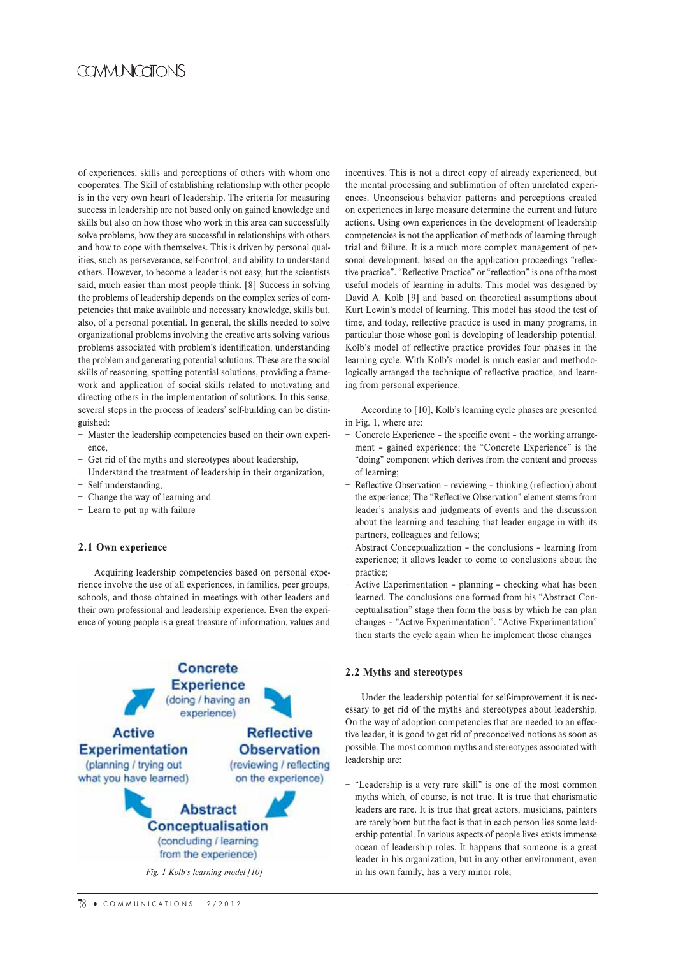## COVIVI NICATIONS

of experiences, skills and perceptions of others with whom one cooperates. The Skill of establishing relationship with other people is in the very own heart of leadership. The criteria for measuring success in leadership are not based only on gained knowledge and skills but also on how those who work in this area can successfully solve problems, how they are successful in relationships with others and how to cope with themselves. This is driven by personal qualities, such as perseverance, self-control, and ability to understand others. However, to become a leader is not easy, but the scientists said, much easier than most people think. [8] Success in solving the problems of leadership depends on the complex series of competencies that make available and necessary knowledge, skills but, also, of a personal potential. In general, the skills needed to solve organizational problems involving the creative arts solving various problems associated with problem's identification, understanding the problem and generating potential solutions. These are the social skills of reasoning, spotting potential solutions, providing a framework and application of social skills related to motivating and directing others in the implementation of solutions. In this sense, several steps in the process of leaders' self-building can be distinguished:

- − Master the leadership competencies based on their own experience,
- − Get rid of the myths and stereotypes about leadership,
- − Understand the treatment of leadership in their organization,
- − Self understanding,
- − Change the way of learning and
- − Learn to put up with failure

### **2.1 Own experience**

Acquiring leadership competencies based on personal experience involve the use of all experiences, in families, peer groups, schools, and those obtained in meetings with other leaders and their own professional and leadership experience. Even the experience of young people is a great treasure of information, values and



incentives. This is not a direct copy of already experienced, but the mental processing and sublimation of often unrelated experiences. Unconscious behavior patterns and perceptions created on experiences in large measure determine the current and future actions. Using own experiences in the development of leadership competencies is not the application of methods of learning through trial and failure. It is a much more complex management of personal development, based on the application proceedings "reflective practice". "Reflective Practice" or "reflection" is one of the most useful models of learning in adults. This model was designed by David A. Kolb [9] and based on theoretical assumptions about Kurt Lewin's model of learning. This model has stood the test of time, and today, reflective practice is used in many programs, in particular those whose goal is developing of leadership potential. Kolb's model of reflective practice provides four phases in the learning cycle. With Kolb's model is much easier and methodologically arranged the technique of reflective practice, and learning from personal experience.

According to [10], Kolb's learning cycle phases are presented in Fig. 1, where are:

- − Concrete Experience the specific event the working arrangement – gained experience; the "Concrete Experience" is the "doing" component which derives from the content and process of learning;
- Reflective Observation reviewing thinking (reflection) about the experience; The "Reflective Observation" element stems from leader's analysis and judgments of events and the discussion about the learning and teaching that leader engage in with its partners, colleagues and fellows;
- − Abstract Conceptualization the conclusions learning from experience; it allows leader to come to conclusions about the practice;
- − Active Experimentation planning checking what has been learned. The conclusions one formed from his "Abstract Conceptualisation" stage then form the basis by which he can plan changes – "Active Experimentation". "Active Experimentation" then starts the cycle again when he implement those changes

### **2.2 Myths and stereotypes**

Under the leadership potential for self-improvement it is necessary to get rid of the myths and stereotypes about leadership. On the way of adoption competencies that are needed to an effective leader, it is good to get rid of preconceived notions as soon as possible. The most common myths and stereotypes associated with leadership are:

− "Leadership is a very rare skill" is one of the most common myths which, of course, is not true. It is true that charismatic leaders are rare. It is true that great actors, musicians, painters are rarely born but the fact is that in each person lies some leadership potential. In various aspects of people lives exists immense ocean of leadership roles. It happens that someone is a great leader in his organization, but in any other environment, even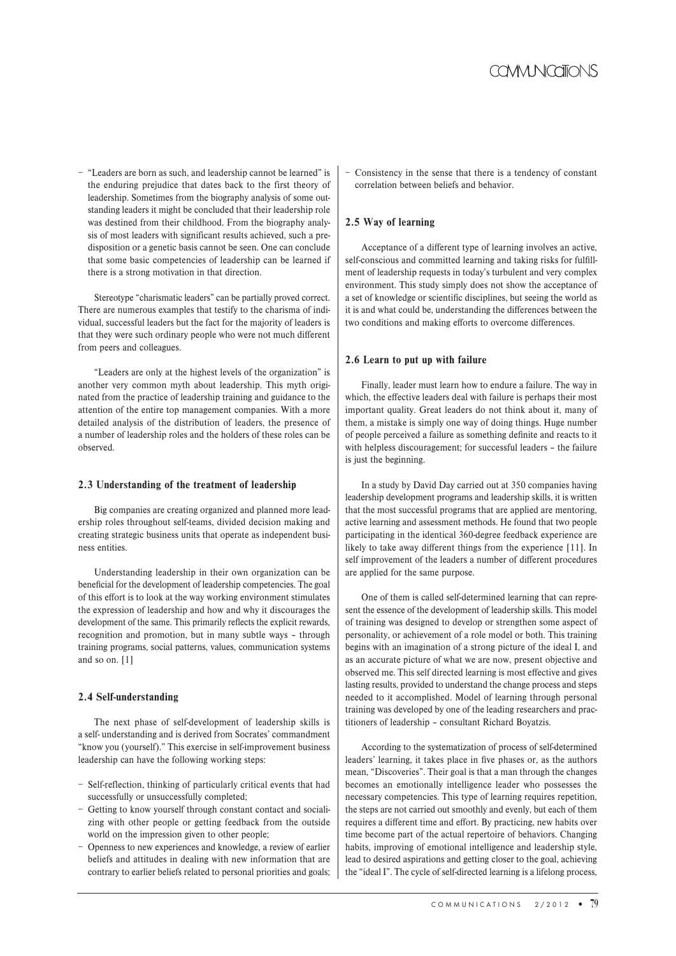− "Leaders are born as such, and leadership cannot be learned" is the enduring prejudice that dates back to the first theory of leadership. Sometimes from the biography analysis of some outstanding leaders it might be concluded that their leadership role was destined from their childhood. From the biography analysis of most leaders with significant results achieved, such a predisposition or a genetic basis cannot be seen. One can conclude that some basic competencies of leadership can be learned if there is a strong motivation in that direction.

Stereotype "charismatic leaders" can be partially proved correct. There are numerous examples that testify to the charisma of individual, successful leaders but the fact for the majority of leaders is that they were such ordinary people who were not much different from peers and colleagues.

"Leaders are only at the highest levels of the organization" is another very common myth about leadership. This myth originated from the practice of leadership training and guidance to the attention of the entire top management companies. With a more detailed analysis of the distribution of leaders, the presence of a number of leadership roles and the holders of these roles can be observed.

## **2.3 Understanding of the treatment of leadership**

Big companies are creating organized and planned more leadership roles throughout self-teams, divided decision making and creating strategic business units that operate as independent business entities.

Understanding leadership in their own organization can be beneficial for the development of leadership competencies. The goal of this effort is to look at the way working environment stimulates the expression of leadership and how and why it discourages the development of the same. This primarily reflects the explicit rewards, recognition and promotion, but in many subtle ways – through training programs, social patterns, values, communication systems and so on. [1]

## **2.4 Self-understanding**

The next phase of self-development of leadership skills is a self- understanding and is derived from Socrates' commandment "know you (yourself)." This exercise in self-improvement business leadership can have the following working steps:

- − Self-reflection, thinking of particularly critical events that had successfully or unsuccessfully completed;
- − Getting to know yourself through constant contact and socializing with other people or getting feedback from the outside world on the impression given to other people;
- − Openness to new experiences and knowledge, a review of earlier beliefs and attitudes in dealing with new information that are contrary to earlier beliefs related to personal priorities and goals;

− Consistency in the sense that there is a tendency of constant correlation between beliefs and behavior.

## **2.5 Way of learning**

Acceptance of a different type of learning involves an active, self-conscious and committed learning and taking risks for fulfillment of leadership requests in today's turbulent and very complex environment. This study simply does not show the acceptance of a set of knowledge or scientific disciplines, but seeing the world as it is and what could be, understanding the differences between the two conditions and making efforts to overcome differences.

## **2.6 Learn to put up with failure**

Finally, leader must learn how to endure a failure. The way in which, the effective leaders deal with failure is perhaps their most important quality. Great leaders do not think about it, many of them, a mistake is simply one way of doing things. Huge number of people perceived a failure as something definite and reacts to it with helpless discouragement; for successful leaders – the failure is just the beginning.

In a study by David Day carried out at 350 companies having leadership development programs and leadership skills, it is written that the most successful programs that are applied are mentoring, active learning and assessment methods. He found that two people participating in the identical 360-degree feedback experience are likely to take away different things from the experience [11]. In self improvement of the leaders a number of different procedures are applied for the same purpose.

One of them is called self-determined learning that can represent the essence of the development of leadership skills. This model of training was designed to develop or strengthen some aspect of personality, or achievement of a role model or both. This training begins with an imagination of a strong picture of the ideal I, and as an accurate picture of what we are now, present objective and observed me. This self directed learning is most effective and gives lasting results, provided to understand the change process and steps needed to it accomplished. Model of learning through personal training was developed by one of the leading researchers and practitioners of leadership – consultant Richard Boyatzis.

According to the systematization of process of self-determined leaders' learning, it takes place in five phases or, as the authors mean, "Discoveries". Their goal is that a man through the changes becomes an emotionally intelligence leader who possesses the necessary competencies. This type of learning requires repetition, the steps are not carried out smoothly and evenly, but each of them requires a different time and effort. By practicing, new habits over time become part of the actual repertoire of behaviors. Changing habits, improving of emotional intelligence and leadership style, lead to desired aspirations and getting closer to the goal, achieving the "ideal I". The cycle of self-directed learning is a lifelong process,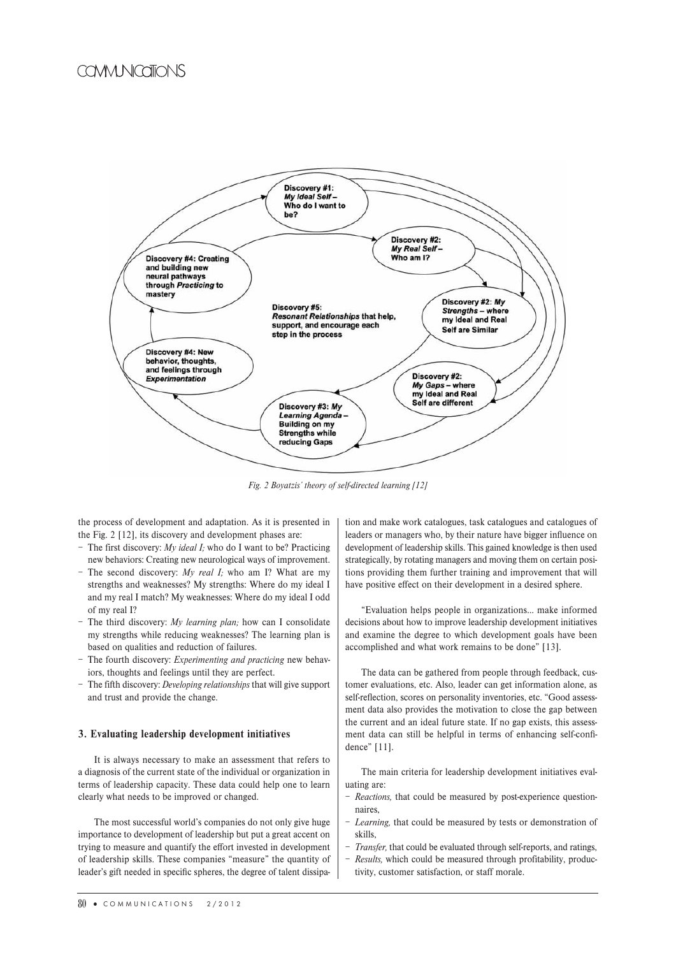## COVIVI NICATIONS



*Fig. 2 Boyatzis' theory of self-directed learning [12]*

the process of development and adaptation. As it is presented in the Fig. 2 [12], its discovery and development phases are:

- − The first discovery: *My ideal I;* who do I want to be? Practicing new behaviors: Creating new neurological ways of improvement.
- − The second discovery: *My real I;* who am I? What are my strengths and weaknesses? My strengths: Where do my ideal I and my real I match? My weaknesses: Where do my ideal I odd of my real I?
- − The third discovery: *My learning plan;* how can I consolidate my strengths while reducing weaknesses? The learning plan is based on qualities and reduction of failures.
- − The fourth discovery: *Experimenting and practicing* new behaviors, thoughts and feelings until they are perfect.
- − The fifth discovery: *Developing relationships* that will give support and trust and provide the change.

#### **3. Evaluating leadership development initiatives**

It is always necessary to make an assessment that refers to a diagnosis of the current state of the individual or organization in terms of leadership capacity. These data could help one to learn clearly what needs to be improved or changed.

The most successful world's companies do not only give huge importance to development of leadership but put a great accent on trying to measure and quantify the effort invested in development of leadership skills. These companies "measure" the quantity of leader's gift needed in specific spheres, the degree of talent dissipation and make work catalogues, task catalogues and catalogues of leaders or managers who, by their nature have bigger influence on development of leadership skills. This gained knowledge is then used strategically, by rotating managers and moving them on certain positions providing them further training and improvement that will have positive effect on their development in a desired sphere.

"Evaluation helps people in organizations… make informed decisions about how to improve leadership development initiatives and examine the degree to which development goals have been accomplished and what work remains to be done" [13].

The data can be gathered from people through feedback, customer evaluations, etc. Also, leader can get information alone, as self-reflection, scores on personality inventories, etc. "Good assessment data also provides the motivation to close the gap between the current and an ideal future state. If no gap exists, this assessment data can still be helpful in terms of enhancing self-confidence" [11].

The main criteria for leadership development initiatives evaluating are:

- *Reactions,* that could be measured by post-experience questionnaires,
- − *Learning,* that could be measured by tests or demonstration of skills,
- Transfer, that could be evaluated through self-reports, and ratings,
- − *Results,* which could be measured through profitability, productivity, customer satisfaction, or staff morale.